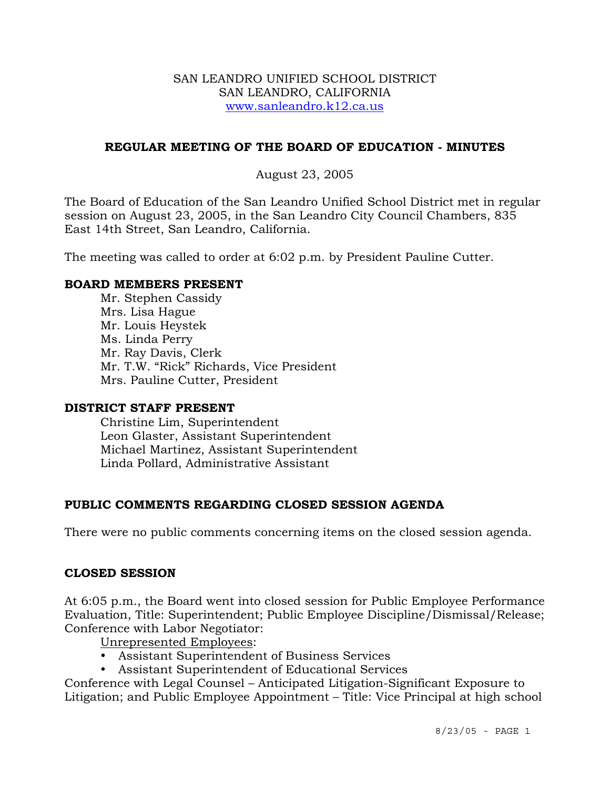#### SAN LEANDRO UNIFIED SCHOOL DISTRICT SAN LEANDRO, CALIFORNIA www.sanleandro.k12.ca.us

# **REGULAR MEETING OF THE BOARD OF EDUCATION - MINUTES**

### August 23, 2005

The Board of Education of the San Leandro Unified School District met in regular session on August 23, 2005, in the San Leandro City Council Chambers, 835 East 14th Street, San Leandro, California.

The meeting was called to order at 6:02 p.m. by President Pauline Cutter.

#### **BOARD MEMBERS PRESENT**

Mr. Stephen Cassidy Mrs. Lisa Hague Mr. Louis Heystek Ms. Linda Perry Mr. Ray Davis, Clerk Mr. T.W. "Rick" Richards, Vice President Mrs. Pauline Cutter, President

#### **DISTRICT STAFF PRESENT**

Christine Lim, Superintendent Leon Glaster, Assistant Superintendent Michael Martinez, Assistant Superintendent Linda Pollard, Administrative Assistant

# **PUBLIC COMMENTS REGARDING CLOSED SESSION AGENDA**

There were no public comments concerning items on the closed session agenda.

#### **CLOSED SESSION**

At 6:05 p.m., the Board went into closed session for Public Employee Performance Evaluation, Title: Superintendent; Public Employee Discipline/Dismissal/Release; Conference with Labor Negotiator:

Unrepresented Employees:

- y Assistant Superintendent of Business Services
- Assistant Superintendent of Educational Services

Conference with Legal Counsel – Anticipated Litigation-Significant Exposure to Litigation; and Public Employee Appointment – Title: Vice Principal at high school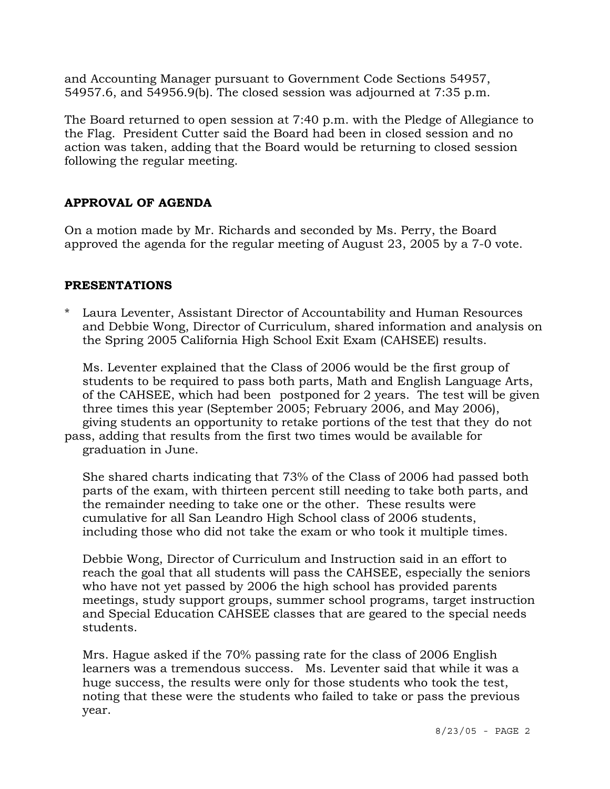and Accounting Manager pursuant to Government Code Sections 54957, 54957.6, and 54956.9(b). The closed session was adjourned at 7:35 p.m.

The Board returned to open session at 7:40 p.m. with the Pledge of Allegiance to the Flag. President Cutter said the Board had been in closed session and no action was taken, adding that the Board would be returning to closed session following the regular meeting.

# **APPROVAL OF AGENDA**

On a motion made by Mr. Richards and seconded by Ms. Perry, the Board approved the agenda for the regular meeting of August 23, 2005 by a 7-0 vote.

# **PRESENTATIONS**

Laura Leventer, Assistant Director of Accountability and Human Resources and Debbie Wong, Director of Curriculum, shared information and analysis on the Spring 2005 California High School Exit Exam (CAHSEE) results.

 Ms. Leventer explained that the Class of 2006 would be the first group of students to be required to pass both parts, Math and English Language Arts, of the CAHSEE, which had been postponed for 2 years. The test will be given three times this year (September 2005; February 2006, and May 2006), giving students an opportunity to retake portions of the test that they do not pass, adding that results from the first two times would be available for

graduation in June.

 She shared charts indicating that 73% of the Class of 2006 had passed both parts of the exam, with thirteen percent still needing to take both parts, and the remainder needing to take one or the other. These results were cumulative for all San Leandro High School class of 2006 students, including those who did not take the exam or who took it multiple times.

 Debbie Wong, Director of Curriculum and Instruction said in an effort to reach the goal that all students will pass the CAHSEE, especially the seniors who have not yet passed by 2006 the high school has provided parents meetings, study support groups, summer school programs, target instruction and Special Education CAHSEE classes that are geared to the special needs students.

 Mrs. Hague asked if the 70% passing rate for the class of 2006 English learners was a tremendous success. Ms. Leventer said that while it was a huge success, the results were only for those students who took the test, noting that these were the students who failed to take or pass the previous year.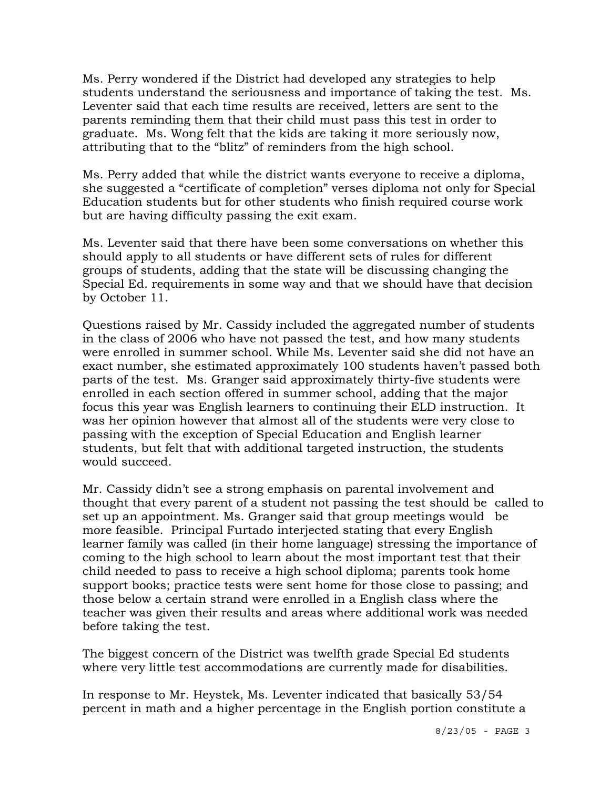Ms. Perry wondered if the District had developed any strategies to help students understand the seriousness and importance of taking the test. Ms. Leventer said that each time results are received, letters are sent to the parents reminding them that their child must pass this test in order to graduate. Ms. Wong felt that the kids are taking it more seriously now, attributing that to the "blitz" of reminders from the high school.

 Ms. Perry added that while the district wants everyone to receive a diploma, she suggested a "certificate of completion" verses diploma not only for Special Education students but for other students who finish required course work but are having difficulty passing the exit exam.

 Ms. Leventer said that there have been some conversations on whether this should apply to all students or have different sets of rules for different groups of students, adding that the state will be discussing changing the Special Ed. requirements in some way and that we should have that decision by October 11.

 Questions raised by Mr. Cassidy included the aggregated number of students in the class of 2006 who have not passed the test, and how many students were enrolled in summer school. While Ms. Leventer said she did not have an exact number, she estimated approximately 100 students haven't passed both parts of the test. Ms. Granger said approximately thirty-five students were enrolled in each section offered in summer school, adding that the major focus this year was English learners to continuing their ELD instruction. It was her opinion however that almost all of the students were very close to passing with the exception of Special Education and English learner students, but felt that with additional targeted instruction, the students would succeed.

 Mr. Cassidy didn't see a strong emphasis on parental involvement and thought that every parent of a student not passing the test should be called to set up an appointment. Ms. Granger said that group meetings would be more feasible. Principal Furtado interjected stating that every English learner family was called (in their home language) stressing the importance of coming to the high school to learn about the most important test that their child needed to pass to receive a high school diploma; parents took home support books; practice tests were sent home for those close to passing; and those below a certain strand were enrolled in a English class where the teacher was given their results and areas where additional work was needed before taking the test.

 The biggest concern of the District was twelfth grade Special Ed students where very little test accommodations are currently made for disabilities.

 In response to Mr. Heystek, Ms. Leventer indicated that basically 53/54 percent in math and a higher percentage in the English portion constitute a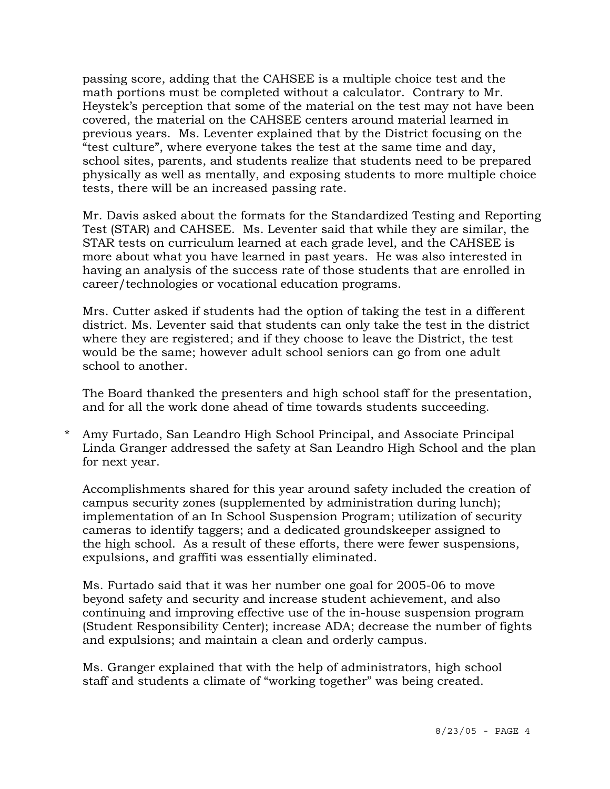passing score, adding that the CAHSEE is a multiple choice test and the math portions must be completed without a calculator. Contrary to Mr. Heystek's perception that some of the material on the test may not have been covered, the material on the CAHSEE centers around material learned in previous years. Ms. Leventer explained that by the District focusing on the "test culture", where everyone takes the test at the same time and day, school sites, parents, and students realize that students need to be prepared physically as well as mentally, and exposing students to more multiple choice tests, there will be an increased passing rate.

 Mr. Davis asked about the formats for the Standardized Testing and Reporting Test (STAR) and CAHSEE. Ms. Leventer said that while they are similar, the STAR tests on curriculum learned at each grade level, and the CAHSEE is more about what you have learned in past years. He was also interested in having an analysis of the success rate of those students that are enrolled in career/technologies or vocational education programs.

 Mrs. Cutter asked if students had the option of taking the test in a different district. Ms. Leventer said that students can only take the test in the district where they are registered; and if they choose to leave the District, the test would be the same; however adult school seniors can go from one adult school to another.

 The Board thanked the presenters and high school staff for the presentation, and for all the work done ahead of time towards students succeeding.

\* Amy Furtado, San Leandro High School Principal, and Associate Principal Linda Granger addressed the safety at San Leandro High School and the plan for next year.

 Accomplishments shared for this year around safety included the creation of campus security zones (supplemented by administration during lunch); implementation of an In School Suspension Program; utilization of security cameras to identify taggers; and a dedicated groundskeeper assigned to the high school. As a result of these efforts, there were fewer suspensions, expulsions, and graffiti was essentially eliminated.

 Ms. Furtado said that it was her number one goal for 2005-06 to move beyond safety and security and increase student achievement, and also continuing and improving effective use of the in-house suspension program (Student Responsibility Center); increase ADA; decrease the number of fights and expulsions; and maintain a clean and orderly campus.

 Ms. Granger explained that with the help of administrators, high school staff and students a climate of "working together" was being created.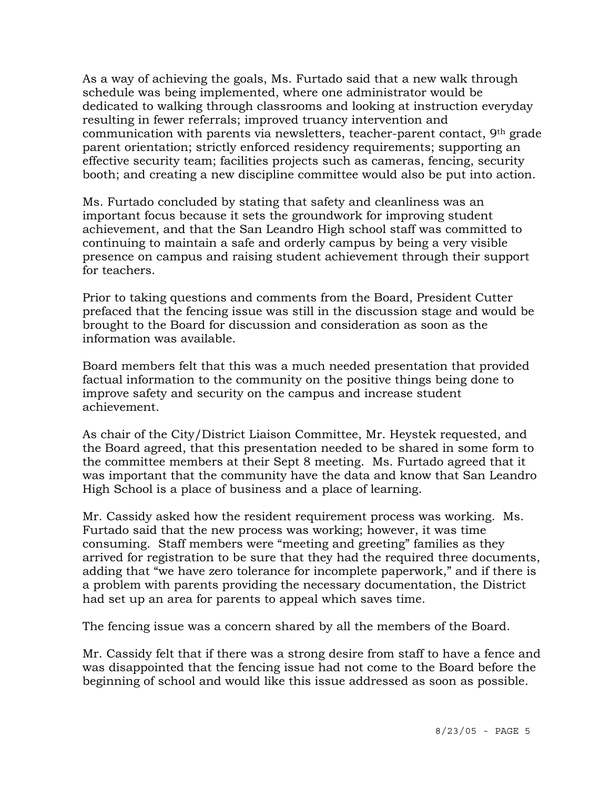As a way of achieving the goals, Ms. Furtado said that a new walk through schedule was being implemented, where one administrator would be dedicated to walking through classrooms and looking at instruction everyday resulting in fewer referrals; improved truancy intervention and communication with parents via newsletters, teacher-parent contact, 9th grade parent orientation; strictly enforced residency requirements; supporting an effective security team; facilities projects such as cameras, fencing, security booth; and creating a new discipline committee would also be put into action.

 Ms. Furtado concluded by stating that safety and cleanliness was an important focus because it sets the groundwork for improving student achievement, and that the San Leandro High school staff was committed to continuing to maintain a safe and orderly campus by being a very visible presence on campus and raising student achievement through their support for teachers.

Prior to taking questions and comments from the Board, President Cutter prefaced that the fencing issue was still in the discussion stage and would be brought to the Board for discussion and consideration as soon as the information was available.

 Board members felt that this was a much needed presentation that provided factual information to the community on the positive things being done to improve safety and security on the campus and increase student achievement.

As chair of the City/District Liaison Committee, Mr. Heystek requested, and the Board agreed, that this presentation needed to be shared in some form to the committee members at their Sept 8 meeting. Ms. Furtado agreed that it was important that the community have the data and know that San Leandro High School is a place of business and a place of learning.

Mr. Cassidy asked how the resident requirement process was working. Ms. Furtado said that the new process was working; however, it was time consuming. Staff members were "meeting and greeting" families as they arrived for registration to be sure that they had the required three documents, adding that "we have zero tolerance for incomplete paperwork," and if there is a problem with parents providing the necessary documentation, the District had set up an area for parents to appeal which saves time.

The fencing issue was a concern shared by all the members of the Board.

Mr. Cassidy felt that if there was a strong desire from staff to have a fence and was disappointed that the fencing issue had not come to the Board before the beginning of school and would like this issue addressed as soon as possible.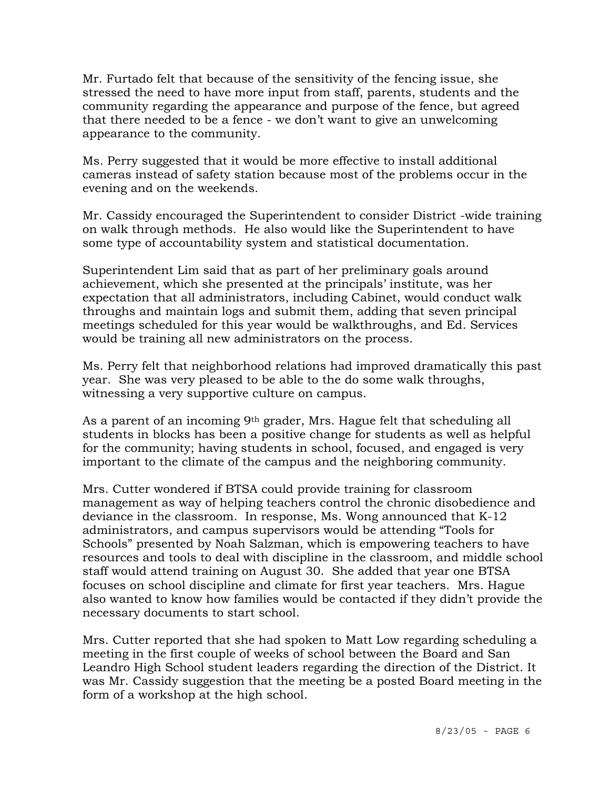Mr. Furtado felt that because of the sensitivity of the fencing issue, she stressed the need to have more input from staff, parents, students and the community regarding the appearance and purpose of the fence, but agreed that there needed to be a fence - we don't want to give an unwelcoming appearance to the community.

Ms. Perry suggested that it would be more effective to install additional cameras instead of safety station because most of the problems occur in the evening and on the weekends.

Mr. Cassidy encouraged the Superintendent to consider District -wide training on walk through methods. He also would like the Superintendent to have some type of accountability system and statistical documentation.

Superintendent Lim said that as part of her preliminary goals around achievement, which she presented at the principals' institute, was her expectation that all administrators, including Cabinet, would conduct walk throughs and maintain logs and submit them, adding that seven principal meetings scheduled for this year would be walkthroughs, and Ed. Services would be training all new administrators on the process.

Ms. Perry felt that neighborhood relations had improved dramatically this past year. She was very pleased to be able to the do some walk throughs, witnessing a very supportive culture on campus.

As a parent of an incoming 9th grader, Mrs. Hague felt that scheduling all students in blocks has been a positive change for students as well as helpful for the community; having students in school, focused, and engaged is very important to the climate of the campus and the neighboring community.

Mrs. Cutter wondered if BTSA could provide training for classroom management as way of helping teachers control the chronic disobedience and deviance in the classroom. In response, Ms. Wong announced that K-12 administrators, and campus supervisors would be attending "Tools for Schools" presented by Noah Salzman, which is empowering teachers to have resources and tools to deal with discipline in the classroom, and middle school staff would attend training on August 30. She added that year one BTSA focuses on school discipline and climate for first year teachers. Mrs. Hague also wanted to know how families would be contacted if they didn't provide the necessary documents to start school.

Mrs. Cutter reported that she had spoken to Matt Low regarding scheduling a meeting in the first couple of weeks of school between the Board and San Leandro High School student leaders regarding the direction of the District. It was Mr. Cassidy suggestion that the meeting be a posted Board meeting in the form of a workshop at the high school.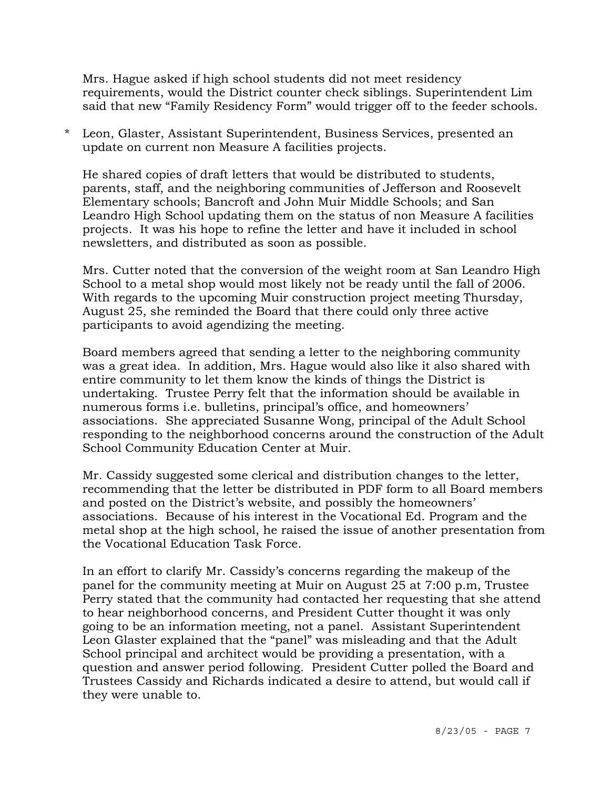Mrs. Hague asked if high school students did not meet residency requirements, would the District counter check siblings. Superintendent Lim said that new "Family Residency Form" would trigger off to the feeder schools.

\* Leon, Glaster, Assistant Superintendent, Business Services, presented an update on current non Measure A facilities projects.

He shared copies of draft letters that would be distributed to students, parents, staff, and the neighboring communities of Jefferson and Roosevelt Elementary schools; Bancroft and John Muir Middle Schools; and San Leandro High School updating them on the status of non Measure A facilities projects. It was his hope to refine the letter and have it included in school newsletters, and distributed as soon as possible.

Mrs. Cutter noted that the conversion of the weight room at San Leandro High School to a metal shop would most likely not be ready until the fall of 2006. With regards to the upcoming Muir construction project meeting Thursday, August 25, she reminded the Board that there could only three active participants to avoid agendizing the meeting.

Board members agreed that sending a letter to the neighboring community was a great idea. In addition, Mrs. Hague would also like it also shared with entire community to let them know the kinds of things the District is undertaking. Trustee Perry felt that the information should be available in numerous forms i.e. bulletins, principal's office, and homeowners' associations. She appreciated Susanne Wong, principal of the Adult School responding to the neighborhood concerns around the construction of the Adult School Community Education Center at Muir.

Mr. Cassidy suggested some clerical and distribution changes to the letter, recommending that the letter be distributed in PDF form to all Board members and posted on the District's website, and possibly the homeowners' associations. Because of his interest in the Vocational Ed. Program and the metal shop at the high school, he raised the issue of another presentation from the Vocational Education Task Force.

In an effort to clarify Mr. Cassidy's concerns regarding the makeup of the panel for the community meeting at Muir on August 25 at 7:00 p.m, Trustee Perry stated that the community had contacted her requesting that she attend to hear neighborhood concerns, and President Cutter thought it was only going to be an information meeting, not a panel. Assistant Superintendent Leon Glaster explained that the "panel" was misleading and that the Adult School principal and architect would be providing a presentation, with a question and answer period following. President Cutter polled the Board and Trustees Cassidy and Richards indicated a desire to attend, but would call if they were unable to.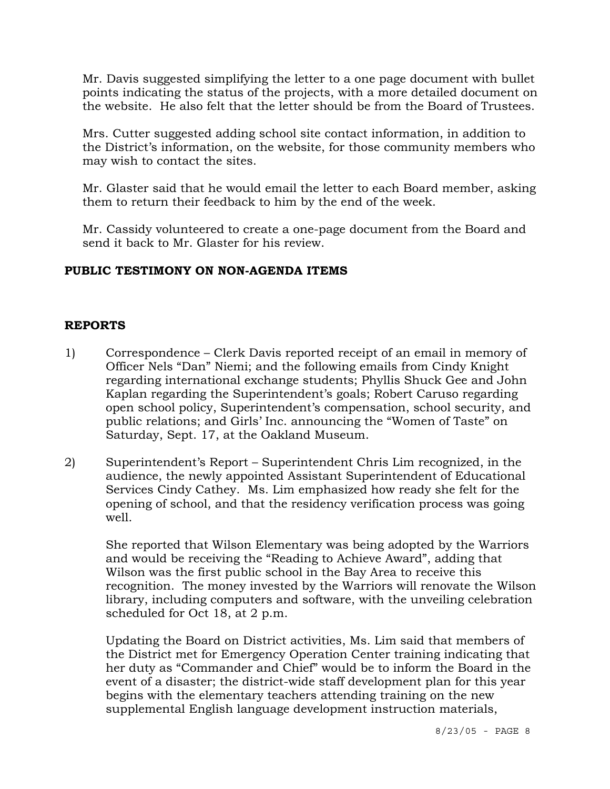Mr. Davis suggested simplifying the letter to a one page document with bullet points indicating the status of the projects, with a more detailed document on the website. He also felt that the letter should be from the Board of Trustees.

Mrs. Cutter suggested adding school site contact information, in addition to the District's information, on the website, for those community members who may wish to contact the sites.

Mr. Glaster said that he would email the letter to each Board member, asking them to return their feedback to him by the end of the week.

 Mr. Cassidy volunteered to create a one-page document from the Board and send it back to Mr. Glaster for his review.

# **PUBLIC TESTIMONY ON NON-AGENDA ITEMS**

# **REPORTS**

- 1) Correspondence Clerk Davis reported receipt of an email in memory of Officer Nels "Dan" Niemi; and the following emails from Cindy Knight regarding international exchange students; Phyllis Shuck Gee and John Kaplan regarding the Superintendent's goals; Robert Caruso regarding open school policy, Superintendent's compensation, school security, and public relations; and Girls' Inc. announcing the "Women of Taste" on Saturday, Sept. 17, at the Oakland Museum.
- 2) Superintendent's Report Superintendent Chris Lim recognized, in the audience, the newly appointed Assistant Superintendent of Educational Services Cindy Cathey. Ms. Lim emphasized how ready she felt for the opening of school, and that the residency verification process was going well.

She reported that Wilson Elementary was being adopted by the Warriors and would be receiving the "Reading to Achieve Award", adding that Wilson was the first public school in the Bay Area to receive this recognition. The money invested by the Warriors will renovate the Wilson library, including computers and software, with the unveiling celebration scheduled for Oct 18, at 2 p.m.

Updating the Board on District activities, Ms. Lim said that members of the District met for Emergency Operation Center training indicating that her duty as "Commander and Chief" would be to inform the Board in the event of a disaster; the district-wide staff development plan for this year begins with the elementary teachers attending training on the new supplemental English language development instruction materials,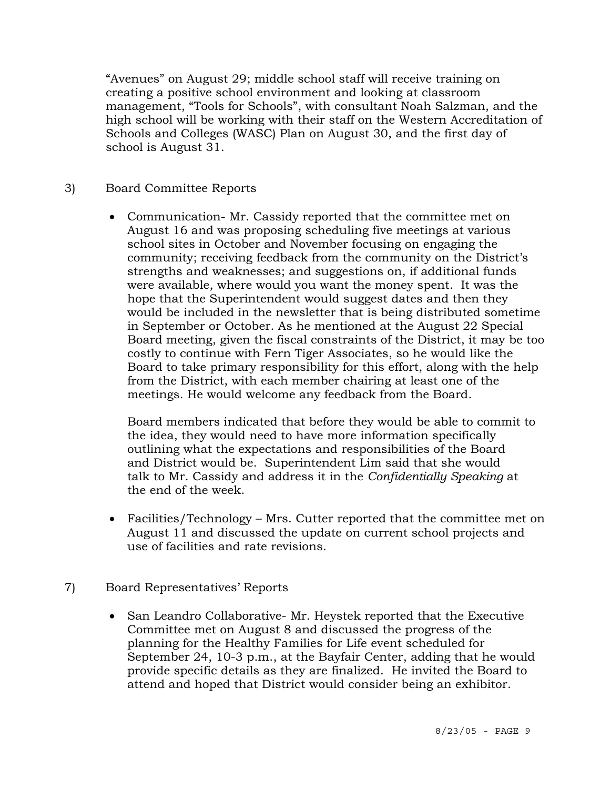"Avenues" on August 29; middle school staff will receive training on creating a positive school environment and looking at classroom management, "Tools for Schools", with consultant Noah Salzman, and the high school will be working with their staff on the Western Accreditation of Schools and Colleges (WASC) Plan on August 30, and the first day of school is August 31.

# 3) Board Committee Reports

• Communication- Mr. Cassidy reported that the committee met on August 16 and was proposing scheduling five meetings at various school sites in October and November focusing on engaging the community; receiving feedback from the community on the District's strengths and weaknesses; and suggestions on, if additional funds were available, where would you want the money spent. It was the hope that the Superintendent would suggest dates and then they would be included in the newsletter that is being distributed sometime in September or October. As he mentioned at the August 22 Special Board meeting, given the fiscal constraints of the District, it may be too costly to continue with Fern Tiger Associates, so he would like the Board to take primary responsibility for this effort, along with the help from the District, with each member chairing at least one of the meetings. He would welcome any feedback from the Board.

 Board members indicated that before they would be able to commit to the idea, they would need to have more information specifically outlining what the expectations and responsibilities of the Board and District would be. Superintendent Lim said that she would talk to Mr. Cassidy and address it in the *Confidentially Speaking* at the end of the week.

- Facilities/Technology Mrs. Cutter reported that the committee met on August 11 and discussed the update on current school projects and use of facilities and rate revisions.
- 7) Board Representatives' Reports
	- San Leandro Collaborative- Mr. Heystek reported that the Executive Committee met on August 8 and discussed the progress of the planning for the Healthy Families for Life event scheduled for September 24, 10-3 p.m., at the Bayfair Center, adding that he would provide specific details as they are finalized. He invited the Board to attend and hoped that District would consider being an exhibitor.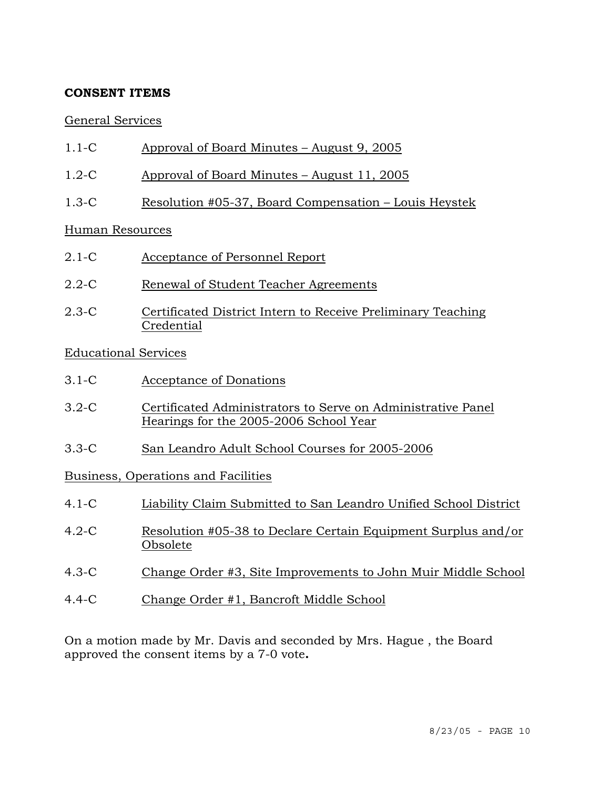# **CONSENT ITEMS**

### General Services

- 1.1-C Approval of Board Minutes August 9, 2005
- 1.2-C Approval of Board Minutes August 11, 2005
- 1.3-C Resolution #05-37, Board Compensation Louis Heystek

### Human Resources

- 2.1-C Acceptance of Personnel Report
- 2.2-C Renewal of Student Teacher Agreements
- 2.3-C Certificated District Intern to Receive Preliminary Teaching Credential

# Educational Services

- 3.1-C Acceptance of Donations
- 3.2-C Certificated Administrators to Serve on Administrative Panel Hearings for the 2005-2006 School Year
- 3.3-C San Leandro Adult School Courses for 2005-2006

# Business, Operations and Facilities

| $4.1 - C$ | Liability Claim Submitted to San Leandro Unified School District          |
|-----------|---------------------------------------------------------------------------|
| $4.2-C$   | Resolution #05-38 to Declare Certain Equipment Surplus and/or<br>Obsolete |
| $4.3-C$   | Change Order #3, Site Improvements to John Muir Middle School             |
| $4.4-C$   | Change Order #1, Bancroft Middle School                                   |

On a motion made by Mr. Davis and seconded by Mrs. Hague , the Board approved the consent items by a 7-0 vote**.**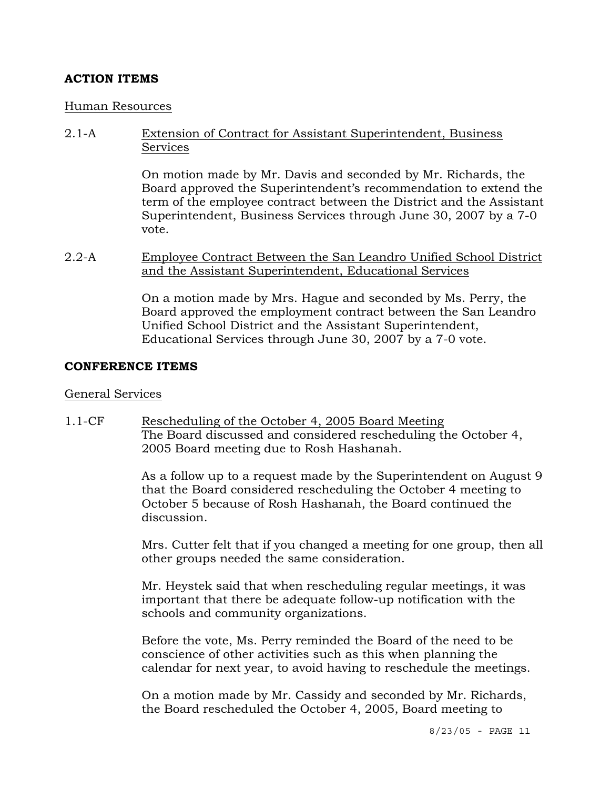# **ACTION ITEMS**

#### Human Resources

2.1-A Extension of Contract for Assistant Superintendent, Business **Services** 

> On motion made by Mr. Davis and seconded by Mr. Richards, the Board approved the Superintendent's recommendation to extend the term of the employee contract between the District and the Assistant Superintendent, Business Services through June 30, 2007 by a 7-0 vote.

2.2-A Employee Contract Between the San Leandro Unified School District and the Assistant Superintendent, Educational Services

> On a motion made by Mrs. Hague and seconded by Ms. Perry, the Board approved the employment contract between the San Leandro Unified School District and the Assistant Superintendent, Educational Services through June 30, 2007 by a 7-0 vote.

#### **CONFERENCE ITEMS**

#### General Services

1.1-CF Rescheduling of the October 4, 2005 Board Meeting The Board discussed and considered rescheduling the October 4, 2005 Board meeting due to Rosh Hashanah.

> As a follow up to a request made by the Superintendent on August 9 that the Board considered rescheduling the October 4 meeting to October 5 because of Rosh Hashanah, the Board continued the discussion.

> Mrs. Cutter felt that if you changed a meeting for one group, then all other groups needed the same consideration.

Mr. Heystek said that when rescheduling regular meetings, it was important that there be adequate follow-up notification with the schools and community organizations.

Before the vote, Ms. Perry reminded the Board of the need to be conscience of other activities such as this when planning the calendar for next year, to avoid having to reschedule the meetings.

On a motion made by Mr. Cassidy and seconded by Mr. Richards, the Board rescheduled the October 4, 2005, Board meeting to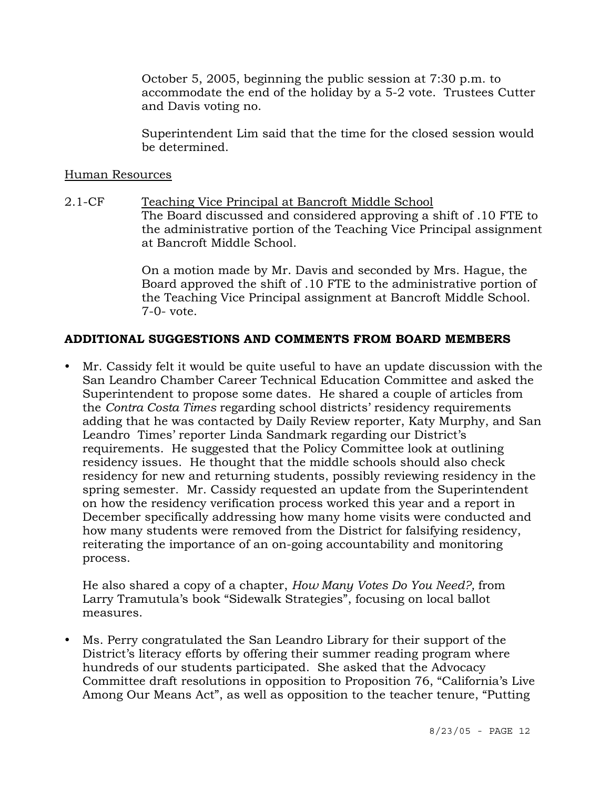October 5, 2005, beginning the public session at 7:30 p.m. to accommodate the end of the holiday by a 5-2 vote. Trustees Cutter and Davis voting no.

Superintendent Lim said that the time for the closed session would be determined.

#### Human Resources

2.1-CF Teaching Vice Principal at Bancroft Middle School The Board discussed and considered approving a shift of .10 FTE to the administrative portion of the Teaching Vice Principal assignment at Bancroft Middle School.

> On a motion made by Mr. Davis and seconded by Mrs. Hague, the Board approved the shift of .10 FTE to the administrative portion of the Teaching Vice Principal assignment at Bancroft Middle School. 7-0- vote.

# **ADDITIONAL SUGGESTIONS AND COMMENTS FROM BOARD MEMBERS**

• Mr. Cassidy felt it would be quite useful to have an update discussion with the San Leandro Chamber Career Technical Education Committee and asked the Superintendent to propose some dates. He shared a couple of articles from the *Contra Costa Times* regarding school districts' residency requirements adding that he was contacted by Daily Review reporter, Katy Murphy, and San Leandro Times' reporter Linda Sandmark regarding our District's requirements. He suggested that the Policy Committee look at outlining residency issues. He thought that the middle schools should also check residency for new and returning students, possibly reviewing residency in the spring semester. Mr. Cassidy requested an update from the Superintendent on how the residency verification process worked this year and a report in December specifically addressing how many home visits were conducted and how many students were removed from the District for falsifying residency, reiterating the importance of an on-going accountability and monitoring process.

 He also shared a copy of a chapter, *How Many Votes Do You Need?,* from Larry Tramutula's book "Sidewalk Strategies", focusing on local ballot measures.

• Ms. Perry congratulated the San Leandro Library for their support of the District's literacy efforts by offering their summer reading program where hundreds of our students participated. She asked that the Advocacy Committee draft resolutions in opposition to Proposition 76, "California's Live Among Our Means Act", as well as opposition to the teacher tenure, "Putting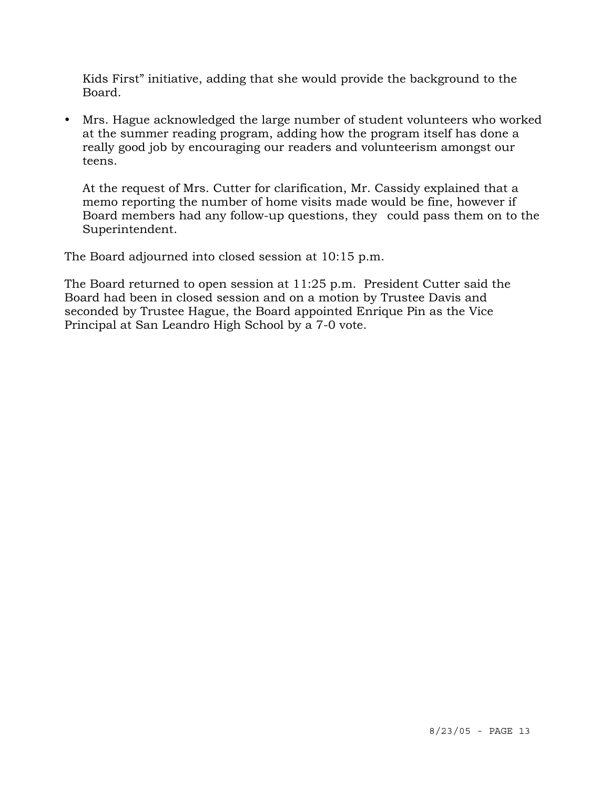Kids First" initiative, adding that she would provide the background to the Board.

• Mrs. Hague acknowledged the large number of student volunteers who worked at the summer reading program, adding how the program itself has done a really good job by encouraging our readers and volunteerism amongst our teens.

 At the request of Mrs. Cutter for clarification, Mr. Cassidy explained that a memo reporting the number of home visits made would be fine, however if Board members had any follow-up questions, they could pass them on to the Superintendent.

The Board adjourned into closed session at 10:15 p.m.

The Board returned to open session at 11:25 p.m. President Cutter said the Board had been in closed session and on a motion by Trustee Davis and seconded by Trustee Hague, the Board appointed Enrique Pin as the Vice Principal at San Leandro High School by a 7-0 vote.